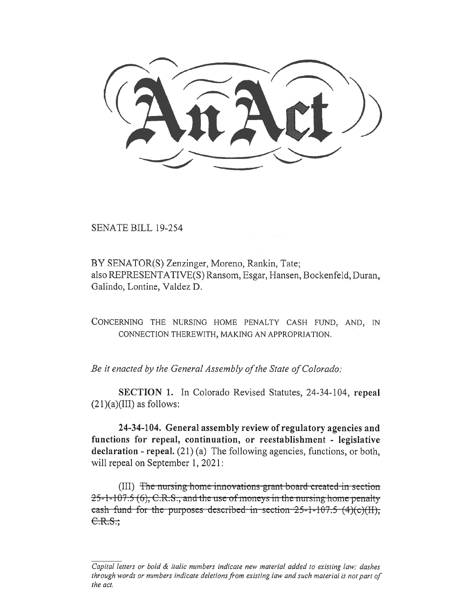**(<sup>C</sup><sup>o</sup> nrct))** 

SENATE BILL 19-254

BY SENATOR(S) Zenzinger, Moreno, Rankin, Tate; also REPRESENTATIVE(S) Ransom, Esgar, Hansen, Bockenfeld, Duran, Galindo, Lontine, Valdez D.

CONCERNING THE NURSING HOME PENALTY CASH FUND, AND, IN CONNECTION THEREWITH, MAKING AN APPROPRIATION.

*Be it enacted by the General Assembly of the State of Colorado:* 

**SECTION 1.** In Colorado Revised Statutes, 24-34-104, **repeal**   $(21)(a)(III)$  as follows:

**24-34-104. General assembly review of regulatory agencies and functions for repeal, continuation, or reestablishment - legislative declaration - repeal.** (21) (a) The following agencies, functions, or both, will repeal on September 1, 2021:

g home innovations grant board created in section 25-1-107.5 (6), C.R.S., and the use of moneys in the nursing home penalty cash fund for the purposes described in section  $25-1-107.5$   $(4)(c)(H)$ ,  $C.R.S.$ ;

*Capital letters or bold & italic numbers indicate new material added to existing law; dashes through words or numbers indicate deletions from existing law and such material is not part of the act.*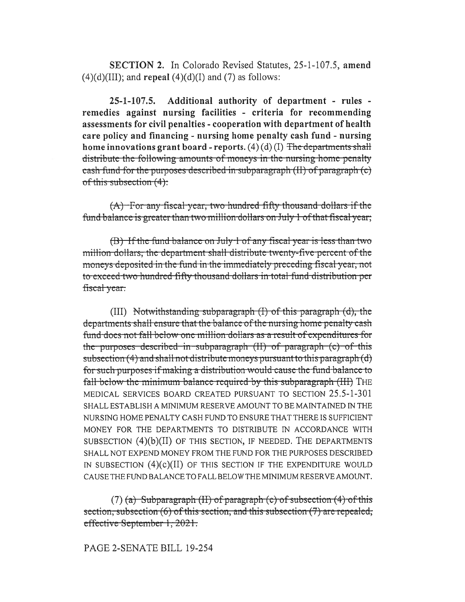SECTION 2. In Colorado Revised Statutes, 25-1-107.5, amend  $(4)(d)(III)$ ; and repeal  $(4)(d)(I)$  and  $(7)$  as follows:

 $25 - 1 - 107.5$ . Additional authority of department - rules remedies against nursing facilities - criteria for recommending assessments for civil penalties - cooperation with department of health care policy and financing - nursing home penalty cash fund - nursing home innovations grant board - reports.  $(4)(d)(I)$  The departments shall distribute the following amounts of moneys in the nursing home penalty eash fund for the purposes described in subparagraph (II) of paragraph (c) of this subsection (4):

(A) For any fiscal year, two hundred fifty thousand dollars if the fund balance is greater than two million dollars on July 1 of that fiscal year;

(B) If the fund balance on July 1 of any fiscal year is less than two million dollars, the department shall distribute twenty-five percent of the moneys deposited in the fund in the immediately preceding fiscal year, not to exceed two hundred fifty thousand dollars in total fund distribution per fiscal year.

 $(III)$  Notwithstanding subparagraph  $(I)$  of this paragraph  $(d)$ , the departments shall ensure that the balance of the nursing home penalty cash fund does not fall below one million dollars as a result of expenditures for the purposes described in subparagraph (II) of paragraph (c) of this subsection  $(4)$  and shall not distribute moneys pursuant to this paragraph  $(d)$ for such purposes if making a distribution would cause the fund balance to fall below the minimum balance required by this subparagraph (III) THE MEDICAL SERVICES BOARD CREATED PURSUANT TO SECTION 25.5-1-301 SHALL ESTABLISH A MINIMUM RESERVE AMOUNT TO BE MAINTAINED IN THE NURSING HOME PENALTY CASH FUND TO ENSURE THAT THERE IS SUFFICIENT MONEY FOR THE DEPARTMENTS TO DISTRIBUTE IN ACCORDANCE WITH SUBSECTION  $(4)(b)(II)$  of this section, if needed. The departments SHALL NOT EXPEND MONEY FROM THE FUND FOR THE PURPOSES DESCRIBED IN SUBSECTION  $(4)(c)(II)$  OF THIS SECTION IF THE EXPENDITURE WOULD CAUSE THE FUND BALANCE TO FALL BELOW THE MINIMUM RESERVE AMOUNT.

 $(7)$  (a) Subparagraph (II) of paragraph (c) of subsection  $(4)$  of this section, subsection (6) of this section, and this subsection (7) are repealed, effective September 1, 2021.

PAGE 2-SENATE BILL 19-254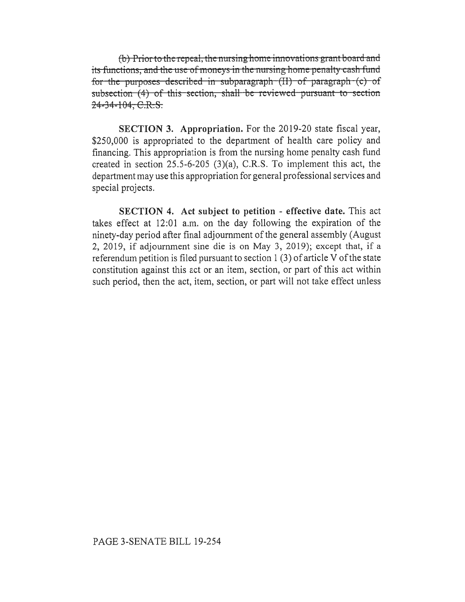*(b)* Prior to the repeal, the nursing home innovations grant board and its functions, and the use of moneys in the nursing home penalty cash fund for the purposes described in subparagraph  $(H)$  of paragraph  $(c)$  of subsection (4) of this section, shall be reviewed pursuant to section 24-34-104, C.R.S.

SECTION 3. Appropriation. For the 2019-20 state fiscal year, \$250,000 is appropriated to the department of health care policy and financing. This appropriation is from the nursing home penalty cash fund created in section 25.5-6-205 (3)(a), C.R.S. To implement this act, the department may use this appropriation for general professional services and special projects.

**SECTION 4. Act subject to petition - effective date.** This act takes effect at 12:01 a.m. on the day following the expiration of the ninety-day period after final adjournment of the general assembly (August 2, 2019, if adjournment sine die is on May 3, 2019); except that, if a referendum petition is filed pursuant to section 1 (3) of article V of the state constitution against this act or an item, section, or part of this act within such period, then the act, item, section, or part will not take effect unless